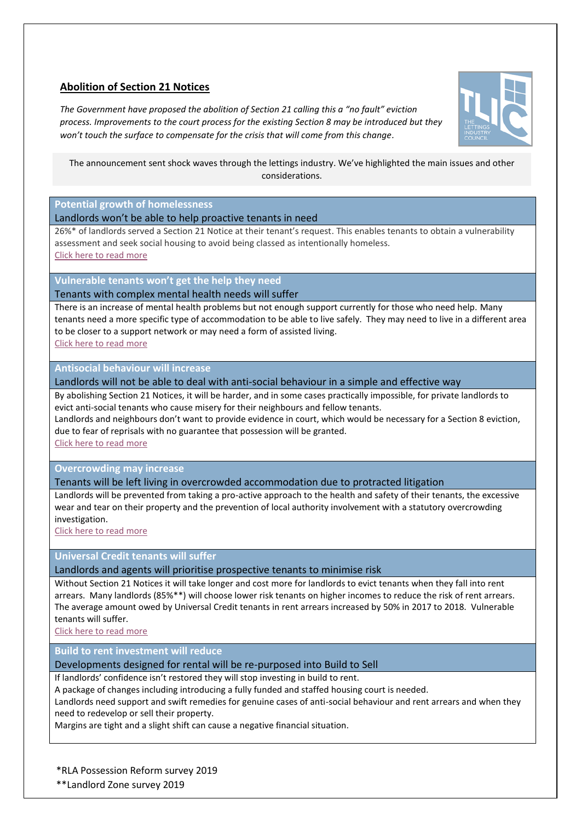# **Abolition of Section 21 Notices**

*The Government have proposed the abolition of Section 21 calling this a "no fault" eviction process. Improvements to the court process for the existing Section 8 may be introduced but they won't touch the surface to compensate for the crisis that will come from this change.*



The announcement sent shock waves through the lettings industry. We've highlighted the main issues and other considerations.

**Potential growth of homelessness**

Landlords won't be able to help proactive tenants in need

26%\* of landlords served a Section 21 Notice at their tenant's request. This enables tenants to obtain a vulnerability assessment and seek social housing to avoid being classed as intentionally homeless. [Click here to read more](https://savillsglobal.box.com/s/zwjjapxn111ydjhc7ev3q9mu90pcygc6)

**Vulnerable tenants won't get the help they need**

Tenants with complex mental health needs will suffer

There is an increase of mental health problems but not enough support currently for those who need help. Many tenants need a more specific type of accommodation to be able to live safely. They may need to live in a different area to be closer to a support network or may need a form of assisted living. [Click here to read more](https://savillsglobal.box.com/s/7hwudyn8j7gf5r1kxznk72h8h68h99fn) 

**Antisocial behaviour will increase**

Landlords will not be able to deal with anti-social behaviour in a simple and effective way

By abolishing Section 21 Notices, it will be harder, and in some cases practically impossible, for private landlords to evict anti-social tenants who cause misery for their neighbours and fellow tenants.

Landlords and neighbours don't want to provide evidence in court, which would be necessary for a Section 8 eviction, due to fear of reprisals with no guarantee that possession will be granted.

[Click here to read more](https://savillsglobal.box.com/s/tb1mlc95s8rgnz0t2ckhje6aliouizyl)

**Overcrowding may increase**

#### Tenants will be left living in overcrowded accommodation due to protracted litigation

Landlords will be prevented from taking a pro-active approach to the health and safety of their tenants, the excessive wear and tear on their property and the prevention of local authority involvement with a statutory overcrowding investigation.

[Click here to read more](https://savillsglobal.box.com/s/euulq9n6n4qnh5lz06aimkx62xvnmowf)

## **Universal Credit tenants will suffer**

Landlords and agents will prioritise prospective tenants to minimise risk

Without Section 21 Notices it will take longer and cost more for landlords to evict tenants when they fall into rent arrears. Many landlords (85%\*\*) will choose lower risk tenants on higher incomes to reduce the risk of rent arrears. The average amount owed by Universal Credit tenants in rent arrears increased by 50% in 2017 to 2018. Vulnerable tenants will suffer.

[Click here to read more](https://savillsglobal.box.com/s/nd3lp9hgjgjwlgn4s3x6zplhnoqjbalf)

**Build to rent investment will reduce**

#### Developments designed for rental will be re-purposed into Build to Sell

If landlords' confidence isn't restored they will stop investing in build to rent.

A package of changes including introducing a fully funded and staffed housing court is needed.

Landlords need support and swift remedies for genuine cases of anti-social behaviour and rent arrears and when they need to redevelop or sell their property.

Margins are tight and a slight shift can cause a negative financial situation.

\*RLA Possession Reform survey 2019

\*\*Landlord Zone survey 2019